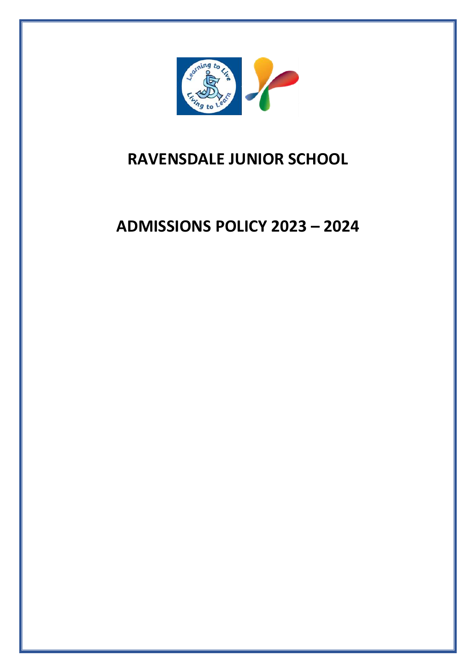

# **RAVENSDALE JUNIOR SCHOOL**

# **ADMISSIONS POLICY 2023 – 2024**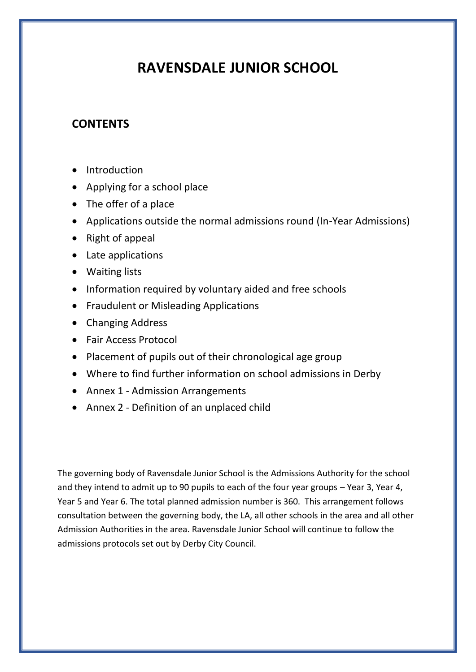# **RAVENSDALE JUNIOR SCHOOL**

# **CONTENTS**

- Introduction
- Applying for a school place
- The offer of a place
- Applications outside the normal admissions round (In-Year Admissions)
- Right of appeal
- Late applications
- Waiting lists
- Information required by voluntary aided and free schools
- Fraudulent or Misleading Applications
- Changing Address
- Fair Access Protocol
- Placement of pupils out of their chronological age group
- Where to find further information on school admissions in Derby
- Annex 1 Admission Arrangements
- Annex 2 Definition of an unplaced child

The governing body of Ravensdale Junior School is the Admissions Authority for the school and they intend to admit up to 90 pupils to each of the four year groups – Year 3, Year 4, Year 5 and Year 6. The total planned admission number is 360. This arrangement follows consultation between the governing body, the LA, all other schools in the area and all other Admission Authorities in the area. Ravensdale Junior School will continue to follow the admissions protocols set out by Derby City Council.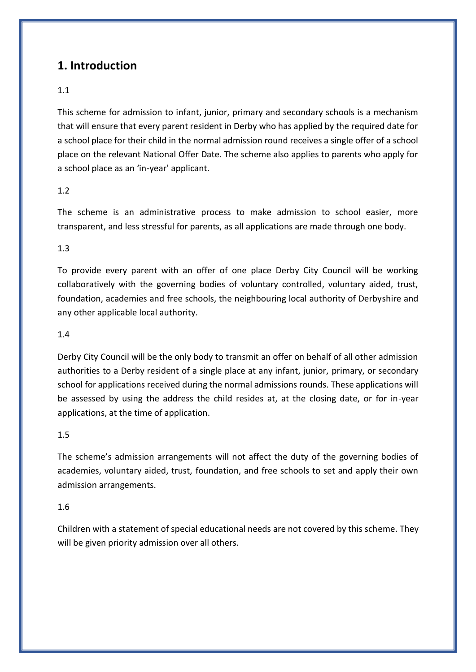# **1. Introduction**

## 1.1

This scheme for admission to infant, junior, primary and secondary schools is a mechanism that will ensure that every parent resident in Derby who has applied by the required date for a school place for their child in the normal admission round receives a single offer of a school place on the relevant National Offer Date. The scheme also applies to parents who apply for a school place as an 'in-year' applicant.

## 1.2

The scheme is an administrative process to make admission to school easier, more transparent, and less stressful for parents, as all applications are made through one body.

### 1.3

To provide every parent with an offer of one place Derby City Council will be working collaboratively with the governing bodies of voluntary controlled, voluntary aided, trust, foundation, academies and free schools, the neighbouring local authority of Derbyshire and any other applicable local authority.

### 1.4

Derby City Council will be the only body to transmit an offer on behalf of all other admission authorities to a Derby resident of a single place at any infant, junior, primary, or secondary school for applications received during the normal admissions rounds. These applications will be assessed by using the address the child resides at, at the closing date, or for in-year applications, at the time of application.

### 1.5

The scheme's admission arrangements will not affect the duty of the governing bodies of academies, voluntary aided, trust, foundation, and free schools to set and apply their own admission arrangements.

### 1.6

Children with a statement of special educational needs are not covered by this scheme. They will be given priority admission over all others.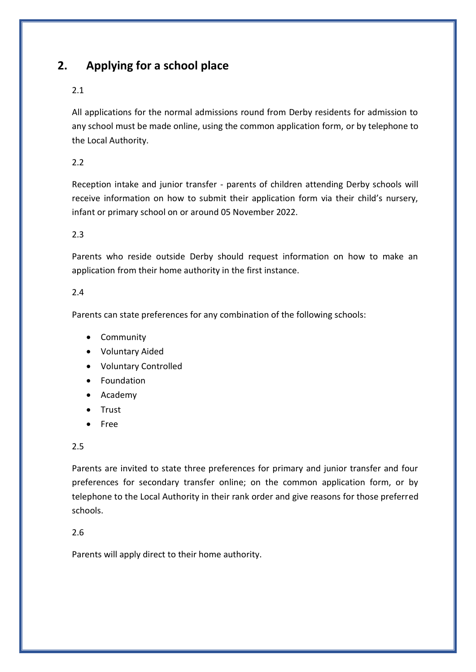# **2. Applying for a school place**

### 2.1

All applications for the normal admissions round from Derby residents for admission to any school must be made online, using the common application form, or by telephone to the Local Authority.

2.2

Reception intake and junior transfer - parents of children attending Derby schools will receive information on how to submit their application form via their child's nursery, infant or primary school on or around 05 November 2022.

2.3

Parents who reside outside Derby should request information on how to make an application from their home authority in the first instance.

### 2.4

Parents can state preferences for any combination of the following schools:

- Community
- Voluntary Aided
- Voluntary Controlled
- Foundation
- Academy
- Trust
- Free

#### 2.5

Parents are invited to state three preferences for primary and junior transfer and four preferences for secondary transfer online; on the common application form, or by telephone to the Local Authority in their rank order and give reasons for those preferred schools.

### 2.6

Parents will apply direct to their home authority.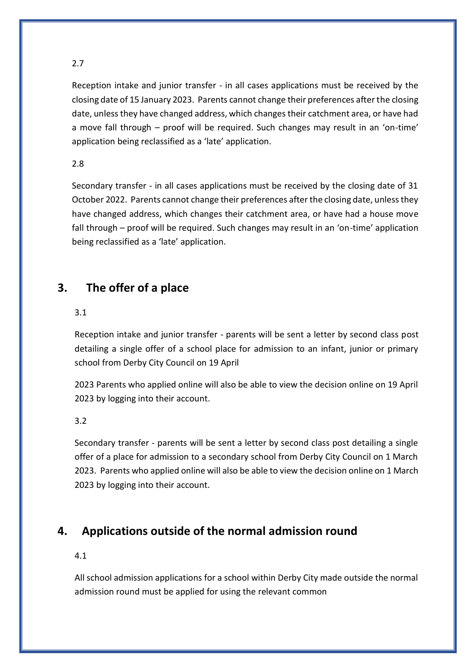Reception intake and junior transfer - in all cases applications must be received by the closing date of 15 January 2023. Parents cannot change their preferences after the closing date, unless they have changed address, which changes their catchment area, or have had a move fall through – proof will be required. Such changes may result in an 'on-time' application being reclassified as a 'late' application.

### 2.8

Secondary transfer - in all cases applications must be received by the closing date of 31 October 2022. Parents cannot change their preferences after the closing date, unless they have changed address, which changes their catchment area, or have had a house move fall through – proof will be required. Such changes may result in an 'on-time' application being reclassified as a 'late' application.

# **3. The offer of a place**

#### 3.1

Reception intake and junior transfer - parents will be sent a letter by second class post detailing a single offer of a school place for admission to an infant, junior or primary school from Derby City Council on 19 April

2023 Parents who applied online will also be able to view the decision online on 19 April 2023 by logging into their account.

3.2

Secondary transfer - parents will be sent a letter by second class post detailing a single offer of a place for admission to a secondary school from Derby City Council on 1 March 2023. Parents who applied online will also be able to view the decision online on 1 March 2023 by logging into their account.

# **4. Applications outside of the normal admission round**

#### 4.1

All school admission applications for a school within Derby City made outside the normal admission round must be applied for using the relevant common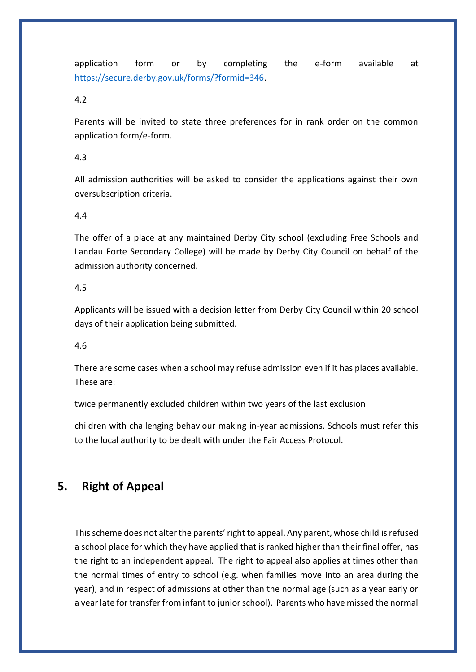application form or by completing the e-form available at [https://secure.derby.gov.uk/forms/?formid=346.](https://secure.derby.gov.uk/forms/?formid=346)

4.2

Parents will be invited to state three preferences for in rank order on the common application form/e-form.

4.3

All admission authorities will be asked to consider the applications against their own oversubscription criteria.

4.4

The offer of a place at any maintained Derby City school (excluding Free Schools and Landau Forte Secondary College) will be made by Derby City Council on behalf of the admission authority concerned.

4.5

Applicants will be issued with a decision letter from Derby City Council within 20 school days of their application being submitted.

4.6

There are some cases when a school may refuse admission even if it has places available. These are:

twice permanently excluded children within two years of the last exclusion

children with challenging behaviour making in-year admissions. Schools must refer this to the local authority to be dealt with under the Fair Access Protocol.

# **5. Right of Appeal**

This scheme does not alter the parents' right to appeal. Any parent, whose child is refused a school place for which they have applied that is ranked higher than their final offer, has the right to an independent appeal. The right to appeal also applies at times other than the normal times of entry to school (e.g. when families move into an area during the year), and in respect of admissions at other than the normal age (such as a year early or a year late for transfer from infant to junior school). Parents who have missed the normal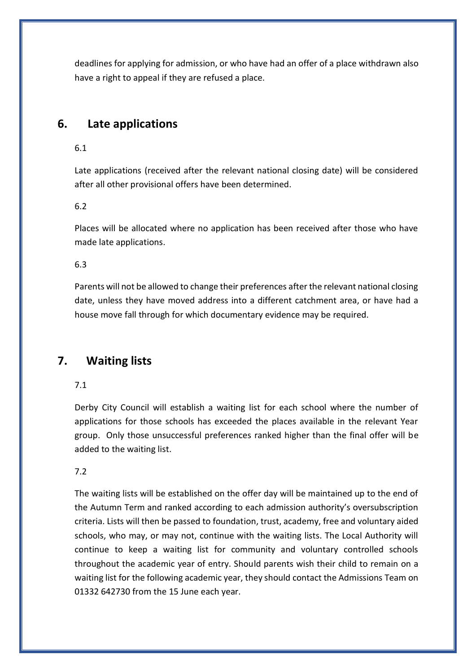deadlines for applying for admission, or who have had an offer of a place withdrawn also have a right to appeal if they are refused a place.

# **6. Late applications**

6.1

Late applications (received after the relevant national closing date) will be considered after all other provisional offers have been determined.

6.2

Places will be allocated where no application has been received after those who have made late applications.

6.3

Parents will not be allowed to change their preferences after the relevant national closing date, unless they have moved address into a different catchment area, or have had a house move fall through for which documentary evidence may be required.

# **7. Waiting lists**

7.1

Derby City Council will establish a waiting list for each school where the number of applications for those schools has exceeded the places available in the relevant Year group. Only those unsuccessful preferences ranked higher than the final offer will be added to the waiting list.

7.2

The waiting lists will be established on the offer day will be maintained up to the end of the Autumn Term and ranked according to each admission authority's oversubscription criteria. Lists will then be passed to foundation, trust, academy, free and voluntary aided schools, who may, or may not, continue with the waiting lists. The Local Authority will continue to keep a waiting list for community and voluntary controlled schools throughout the academic year of entry. Should parents wish their child to remain on a waiting list for the following academic year, they should contact the Admissions Team on 01332 642730 from the 15 June each year.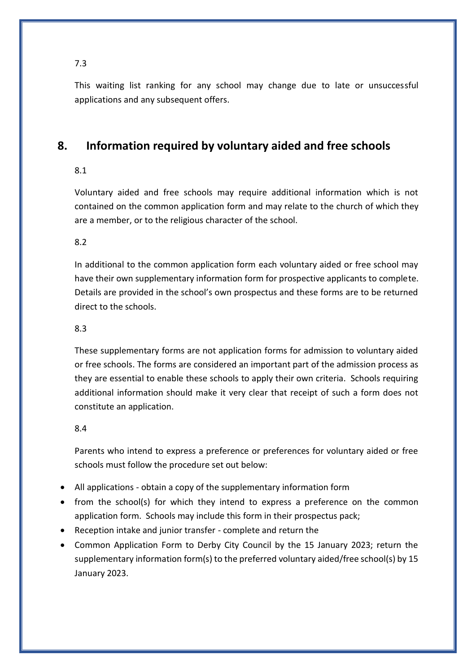This waiting list ranking for any school may change due to late or unsuccessful applications and any subsequent offers.

# **8. Information required by voluntary aided and free schools**

### 8.1

Voluntary aided and free schools may require additional information which is not contained on the common application form and may relate to the church of which they are a member, or to the religious character of the school.

### 8.2

In additional to the common application form each voluntary aided or free school may have their own supplementary information form for prospective applicants to complete. Details are provided in the school's own prospectus and these forms are to be returned direct to the schools.

### 8.3

These supplementary forms are not application forms for admission to voluntary aided or free schools. The forms are considered an important part of the admission process as they are essential to enable these schools to apply their own criteria. Schools requiring additional information should make it very clear that receipt of such a form does not constitute an application.

### 8.4

Parents who intend to express a preference or preferences for voluntary aided or free schools must follow the procedure set out below:

- All applications obtain a copy of the supplementary information form
- from the school(s) for which they intend to express a preference on the common application form. Schools may include this form in their prospectus pack;
- Reception intake and junior transfer complete and return the
- Common Application Form to Derby City Council by the 15 January 2023; return the supplementary information form(s) to the preferred voluntary aided/free school(s) by 15 January 2023.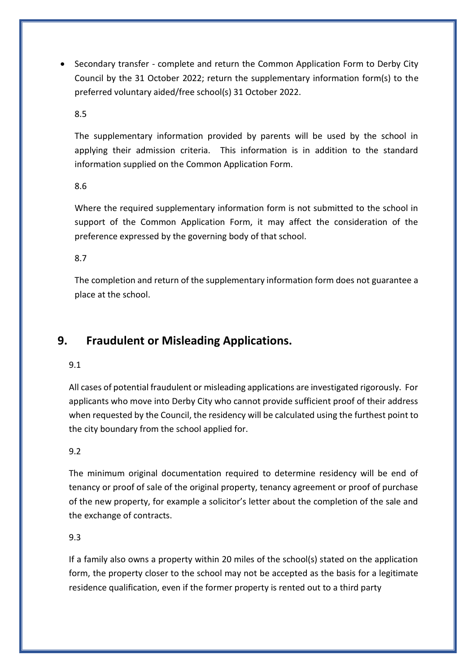• Secondary transfer - complete and return the Common Application Form to Derby City Council by the 31 October 2022; return the supplementary information form(s) to the preferred voluntary aided/free school(s) 31 October 2022.

8.5

The supplementary information provided by parents will be used by the school in applying their admission criteria. This information is in addition to the standard information supplied on the Common Application Form.

8.6

Where the required supplementary information form is not submitted to the school in support of the Common Application Form, it may affect the consideration of the preference expressed by the governing body of that school.

8.7

The completion and return of the supplementary information form does not guarantee a place at the school.

# **9. Fraudulent or Misleading Applications.**

9.1

All cases of potential fraudulent or misleading applications are investigated rigorously. For applicants who move into Derby City who cannot provide sufficient proof of their address when requested by the Council, the residency will be calculated using the furthest point to the city boundary from the school applied for.

9.2

The minimum original documentation required to determine residency will be end of tenancy or proof of sale of the original property, tenancy agreement or proof of purchase of the new property, for example a solicitor's letter about the completion of the sale and the exchange of contracts.

9.3

If a family also owns a property within 20 miles of the school(s) stated on the application form, the property closer to the school may not be accepted as the basis for a legitimate residence qualification, even if the former property is rented out to a third party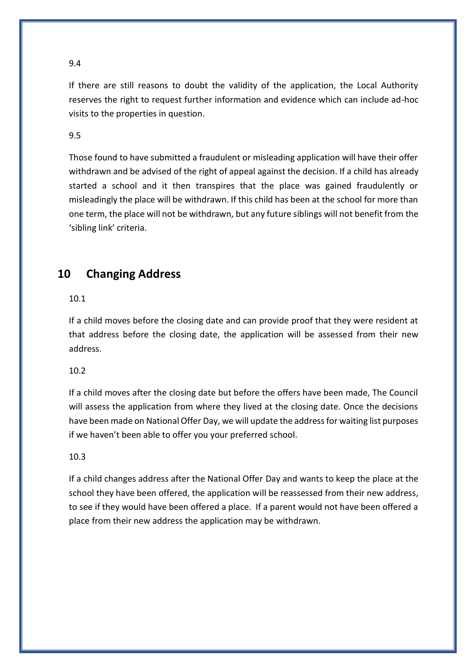If there are still reasons to doubt the validity of the application, the Local Authority reserves the right to request further information and evidence which can include ad-hoc visits to the properties in question.

#### 9.5

Those found to have submitted a fraudulent or misleading application will have their offer withdrawn and be advised of the right of appeal against the decision. If a child has already started a school and it then transpires that the place was gained fraudulently or misleadingly the place will be withdrawn. If this child has been at the school for more than one term, the place will not be withdrawn, but any future siblings will not benefit from the 'sibling link' criteria.

# **10 Changing Address**

### 10.1

If a child moves before the closing date and can provide proof that they were resident at that address before the closing date, the application will be assessed from their new address.

#### 10.2

If a child moves after the closing date but before the offers have been made, The Council will assess the application from where they lived at the closing date. Once the decisions have been made on National Offer Day, we will update the address for waiting list purposes if we haven't been able to offer you your preferred school.

#### 10.3

If a child changes address after the National Offer Day and wants to keep the place at the school they have been offered, the application will be reassessed from their new address, to see if they would have been offered a place. If a parent would not have been offered a place from their new address the application may be withdrawn.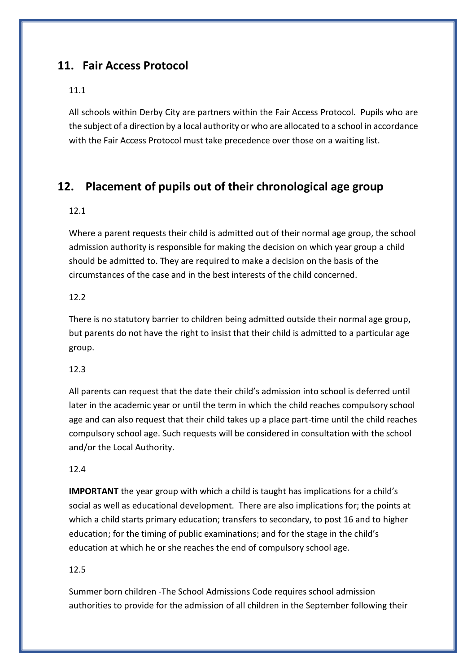# **11. Fair Access Protocol**

### 11.1

All schools within Derby City are partners within the Fair Access Protocol. Pupils who are the subject of a direction by a local authority or who are allocated to a school in accordance with the Fair Access Protocol must take precedence over those on a waiting list.

# **12. Placement of pupils out of their chronological age group**

#### 12.1

Where a parent requests their child is admitted out of their normal age group, the school admission authority is responsible for making the decision on which year group a child should be admitted to. They are required to make a decision on the basis of the circumstances of the case and in the best interests of the child concerned.

#### 12.2

There is no statutory barrier to children being admitted outside their normal age group, but parents do not have the right to insist that their child is admitted to a particular age group.

#### 12.3

All parents can request that the date their child's admission into school is deferred until later in the academic year or until the term in which the child reaches compulsory school age and can also request that their child takes up a place part-time until the child reaches compulsory school age. Such requests will be considered in consultation with the school and/or the Local Authority.

#### 12.4

**IMPORTANT** the year group with which a child is taught has implications for a child's social as well as educational development. There are also implications for; the points at which a child starts primary education; transfers to secondary, to post 16 and to higher education; for the timing of public examinations; and for the stage in the child's education at which he or she reaches the end of compulsory school age.

#### 12.5

Summer born children -The School Admissions Code requires school admission authorities to provide for the admission of all children in the September following their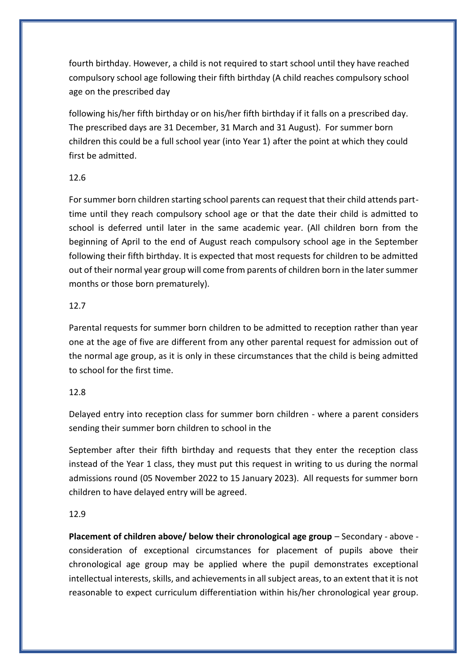fourth birthday. However, a child is not required to start school until they have reached compulsory school age following their fifth birthday (A child reaches compulsory school age on the prescribed day

following his/her fifth birthday or on his/her fifth birthday if it falls on a prescribed day. The prescribed days are 31 December, 31 March and 31 August). For summer born children this could be a full school year (into Year 1) after the point at which they could first be admitted.

### 12.6

For summer born children starting school parents can request that their child attends parttime until they reach compulsory school age or that the date their child is admitted to school is deferred until later in the same academic year. (All children born from the beginning of April to the end of August reach compulsory school age in the September following their fifth birthday. It is expected that most requests for children to be admitted out of their normal year group will come from parents of children born in the later summer months or those born prematurely).

### 12.7

Parental requests for summer born children to be admitted to reception rather than year one at the age of five are different from any other parental request for admission out of the normal age group, as it is only in these circumstances that the child is being admitted to school for the first time.

## 12.8

Delayed entry into reception class for summer born children - where a parent considers sending their summer born children to school in the

September after their fifth birthday and requests that they enter the reception class instead of the Year 1 class, they must put this request in writing to us during the normal admissions round (05 November 2022 to 15 January 2023). All requests for summer born children to have delayed entry will be agreed.

### 12.9

**Placement of children above/ below their chronological age group** – Secondary - above consideration of exceptional circumstances for placement of pupils above their chronological age group may be applied where the pupil demonstrates exceptional intellectual interests, skills, and achievements in all subject areas, to an extent that it is not reasonable to expect curriculum differentiation within his/her chronological year group.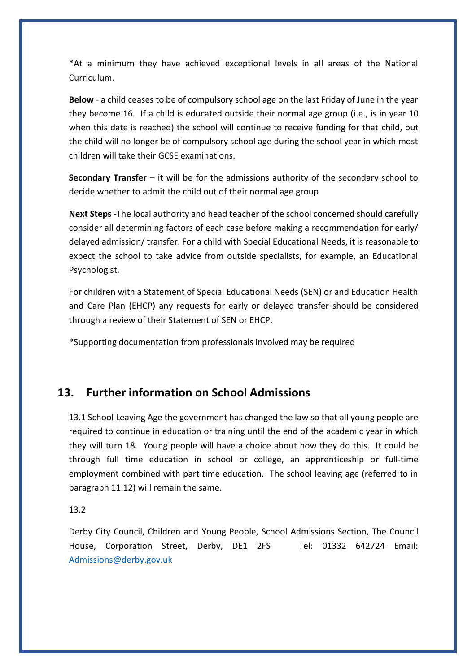\*At a minimum they have achieved exceptional levels in all areas of the National Curriculum.

**Below** - a child ceases to be of compulsory school age on the last Friday of June in the year they become 16. If a child is educated outside their normal age group (i.e., is in year 10 when this date is reached) the school will continue to receive funding for that child, but the child will no longer be of compulsory school age during the school year in which most children will take their GCSE examinations.

**Secondary Transfer** – it will be for the admissions authority of the secondary school to decide whether to admit the child out of their normal age group

**Next Steps** -The local authority and head teacher of the school concerned should carefully consider all determining factors of each case before making a recommendation for early/ delayed admission/ transfer. For a child with Special Educational Needs, it is reasonable to expect the school to take advice from outside specialists, for example, an Educational Psychologist.

For children with a Statement of Special Educational Needs (SEN) or and Education Health and Care Plan (EHCP) any requests for early or delayed transfer should be considered through a review of their Statement of SEN or EHCP.

\*Supporting documentation from professionals involved may be required

# **13. Further information on School Admissions**

13.1 School Leaving Age the government has changed the law so that all young people are required to continue in education or training until the end of the academic year in which they will turn 18. Young people will have a choice about how they do this. It could be through full time education in school or college, an apprenticeship or full-time employment combined with part time education. The school leaving age (referred to in paragraph 11.12) will remain the same.

13.2

Derby City Council, Children and Young People, School Admissions Section, The Council House, Corporation Street, Derby, DE1 2FS Tel: 01332 642724 Email: [Admissions@derby.gov.uk](mailto:Admissions@derby.gov.uk)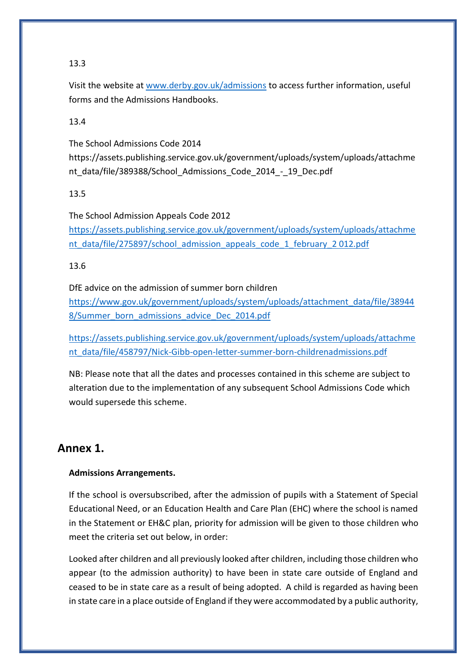Visit the website at [www.derby.gov.uk/admissions](http://www.derby.gov.uk/admissions) to access further information, useful forms and the Admissions Handbooks.

13.4

The School Admissions Code 2014

https://assets.publishing.service.gov.uk/government/uploads/system/uploads/attachme nt\_data/file/389388/School\_Admissions\_Code\_2014\_-\_19\_Dec.pdf

13.5

The School Admission Appeals Code 2012 [https://assets.publishing.service.gov.uk/government/uploads/system/uploads/attachme](https://assets.publishing.service.gov.uk/government/uploads/system/uploads/attachment_data/file/275897/school_admission_appeals_code_1_february_2%20012.pdf) [nt\\_data/file/275897/school\\_admission\\_appeals\\_code\\_1\\_february\\_2 012.pdf](https://assets.publishing.service.gov.uk/government/uploads/system/uploads/attachment_data/file/275897/school_admission_appeals_code_1_february_2%20012.pdf)

13.6

DfE advice on the admission of summer born children [https://www.gov.uk/government/uploads/system/uploads/attachment\\_data/file/38944](https://www.gov.uk/government/uploads/system/uploads/attachment_data/file/389448/Summer_born_admissions_advice_Dec_2014.pdf) [8/Summer\\_born\\_admissions\\_advice\\_Dec\\_2014.pdf](https://www.gov.uk/government/uploads/system/uploads/attachment_data/file/389448/Summer_born_admissions_advice_Dec_2014.pdf)

[https://assets.publishing.service.gov.uk/government/uploads/system/uploads/attachme](https://assets.publishing.service.gov.uk/government/uploads/system/uploads/attachment_data/file/458797/Nick-Gibb-open-letter-summer-born-childrenadmissions.pdf) [nt\\_data/file/458797/Nick-Gibb-open-letter-summer-born-childrenadmissions.pdf](https://assets.publishing.service.gov.uk/government/uploads/system/uploads/attachment_data/file/458797/Nick-Gibb-open-letter-summer-born-childrenadmissions.pdf)

NB: Please note that all the dates and processes contained in this scheme are subject to alteration due to the implementation of any subsequent School Admissions Code which would supersede this scheme.

# **Annex 1.**

### **Admissions Arrangements.**

If the school is oversubscribed, after the admission of pupils with a Statement of Special Educational Need, or an Education Health and Care Plan (EHC) where the school is named in the Statement or EH&C plan, priority for admission will be given to those children who meet the criteria set out below, in order:

Looked after children and all previously looked after children, including those children who appear (to the admission authority) to have been in state care outside of England and ceased to be in state care as a result of being adopted. A child is regarded as having been in state care in a place outside of England if they were accommodated by a public authority,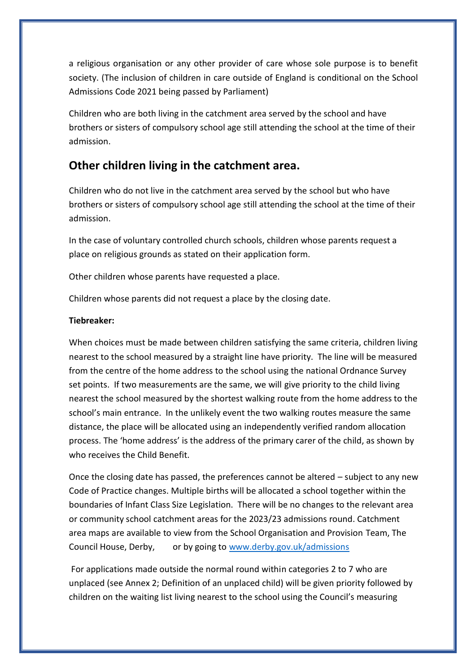a religious organisation or any other provider of care whose sole purpose is to benefit society. (The inclusion of children in care outside of England is conditional on the School Admissions Code 2021 being passed by Parliament)

Children who are both living in the catchment area served by the school and have brothers or sisters of compulsory school age still attending the school at the time of their admission.

# **Other children living in the catchment area.**

Children who do not live in the catchment area served by the school but who have brothers or sisters of compulsory school age still attending the school at the time of their admission.

In the case of voluntary controlled church schools, children whose parents request a place on religious grounds as stated on their application form.

Other children whose parents have requested a place.

Children whose parents did not request a place by the closing date.

#### **Tiebreaker:**

When choices must be made between children satisfying the same criteria, children living nearest to the school measured by a straight line have priority. The line will be measured from the centre of the home address to the school using the national Ordnance Survey set points. If two measurements are the same, we will give priority to the child living nearest the school measured by the shortest walking route from the home address to the school's main entrance. In the unlikely event the two walking routes measure the same distance, the place will be allocated using an independently verified random allocation process. The 'home address' is the address of the primary carer of the child, as shown by who receives the Child Benefit.

Once the closing date has passed, the preferences cannot be altered – subject to any new Code of Practice changes. Multiple births will be allocated a school together within the boundaries of Infant Class Size Legislation. There will be no changes to the relevant area or community school catchment areas for the 2023/23 admissions round. Catchment area maps are available to view from the School Organisation and Provision Team, The Council House, Derby, or by going to [www.derby.gov.uk/admissions](http://www.derby.gov.uk/admissions)

For applications made outside the normal round within categories 2 to 7 who are unplaced (see Annex 2; Definition of an unplaced child) will be given priority followed by children on the waiting list living nearest to the school using the Council's measuring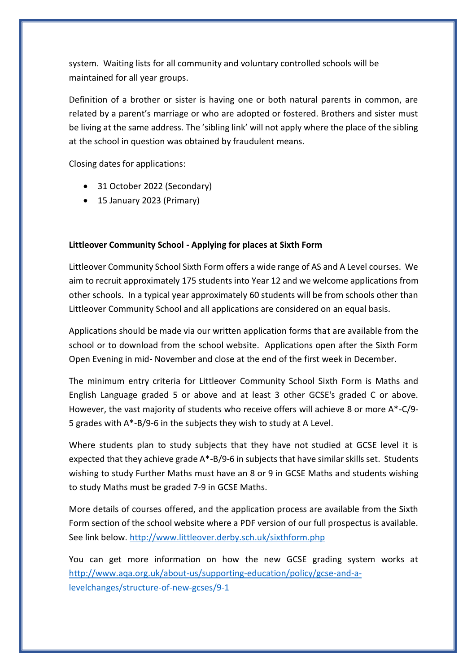system. Waiting lists for all community and voluntary controlled schools will be maintained for all year groups.

Definition of a brother or sister is having one or both natural parents in common, are related by a parent's marriage or who are adopted or fostered. Brothers and sister must be living at the same address. The 'sibling link' will not apply where the place of the sibling at the school in question was obtained by fraudulent means.

Closing dates for applications:

- 31 October 2022 (Secondary)
- 15 January 2023 (Primary)

#### **Littleover Community School - Applying for places at Sixth Form**

Littleover Community School Sixth Form offers a wide range of AS and A Level courses. We aim to recruit approximately 175 students into Year 12 and we welcome applications from other schools. In a typical year approximately 60 students will be from schools other than Littleover Community School and all applications are considered on an equal basis.

Applications should be made via our written application forms that are available from the school or to download from the school website. Applications open after the Sixth Form Open Evening in mid- November and close at the end of the first week in December.

The minimum entry criteria for Littleover Community School Sixth Form is Maths and English Language graded 5 or above and at least 3 other GCSE's graded C or above. However, the vast majority of students who receive offers will achieve 8 or more A\*-C/9- 5 grades with A\*-B/9-6 in the subjects they wish to study at A Level.

Where students plan to study subjects that they have not studied at GCSE level it is expected that they achieve grade A\*-B/9-6 in subjects that have similar skills set. Students wishing to study Further Maths must have an 8 or 9 in GCSE Maths and students wishing to study Maths must be graded 7-9 in GCSE Maths.

More details of courses offered, and the application process are available from the Sixth Form section of the school website where a PDF version of our full prospectus is available. See link below.<http://www.littleover.derby.sch.uk/sixthform.php>

You can get more information on how the new GCSE grading system works at [http://www.aqa.org.uk/about-us/supporting-education/policy/gcse-and-a](http://www.aqa.org.uk/about-us/supporting-education/policy/gcse-and-a-levelchanges/structure-of-new-gcses/9-1)[levelchanges/structure-of-new-gcses/9-1](http://www.aqa.org.uk/about-us/supporting-education/policy/gcse-and-a-levelchanges/structure-of-new-gcses/9-1)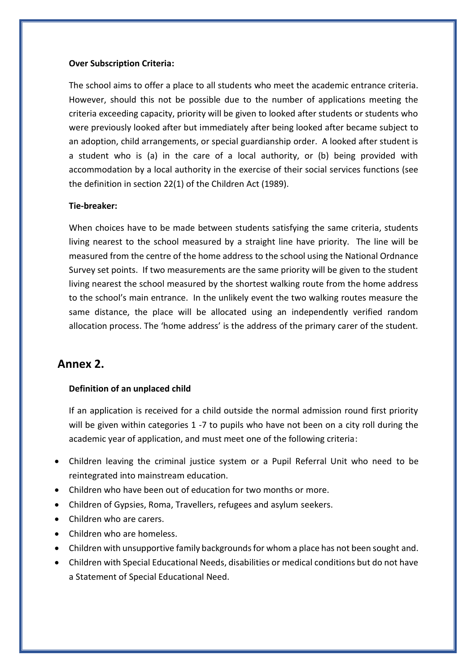#### **Over Subscription Criteria:**

The school aims to offer a place to all students who meet the academic entrance criteria. However, should this not be possible due to the number of applications meeting the criteria exceeding capacity, priority will be given to looked after students or students who were previously looked after but immediately after being looked after became subject to an adoption, child arrangements, or special guardianship order. A looked after student is a student who is (a) in the care of a local authority, or (b) being provided with accommodation by a local authority in the exercise of their social services functions (see the definition in section 22(1) of the Children Act (1989).

#### **Tie-breaker:**

When choices have to be made between students satisfying the same criteria, students living nearest to the school measured by a straight line have priority. The line will be measured from the centre of the home address to the school using the National Ordnance Survey set points. If two measurements are the same priority will be given to the student living nearest the school measured by the shortest walking route from the home address to the school's main entrance. In the unlikely event the two walking routes measure the same distance, the place will be allocated using an independently verified random allocation process. The 'home address' is the address of the primary carer of the student.

# **Annex 2.**

#### **Definition of an unplaced child**

If an application is received for a child outside the normal admission round first priority will be given within categories 1 -7 to pupils who have not been on a city roll during the academic year of application, and must meet one of the following criteria:

- Children leaving the criminal justice system or a Pupil Referral Unit who need to be reintegrated into mainstream education.
- Children who have been out of education for two months or more.
- Children of Gypsies, Roma, Travellers, refugees and asylum seekers.
- Children who are carers.
- Children who are homeless.
- Children with unsupportive family backgrounds for whom a place has not been sought and.
- Children with Special Educational Needs, disabilities or medical conditions but do not have a Statement of Special Educational Need.